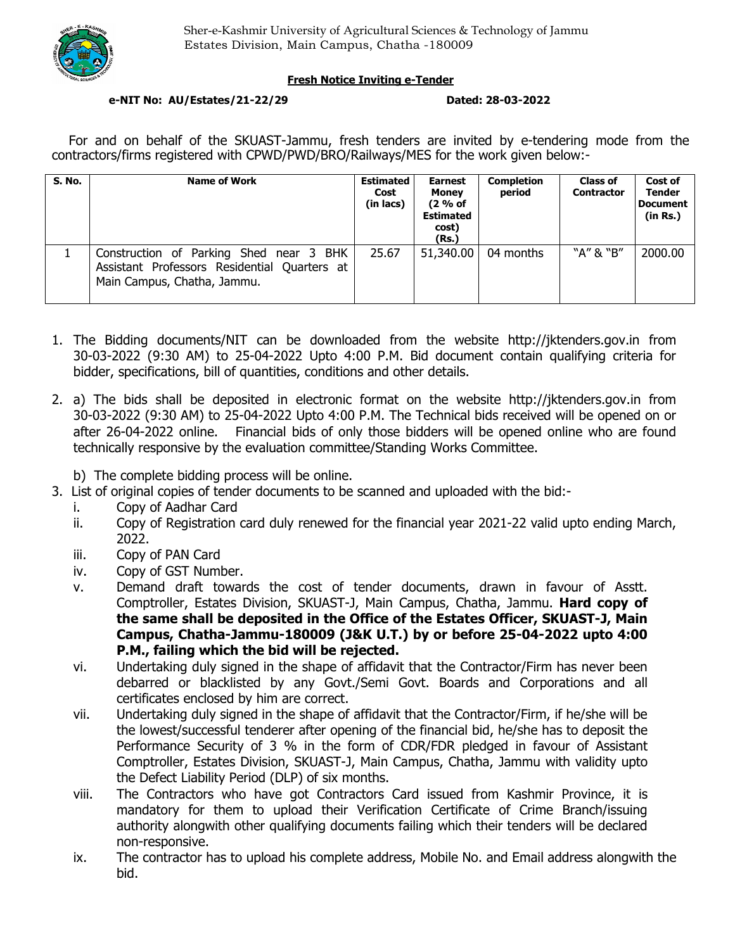

## **Fresh Notice Inviting e-Tender**

### **e-NIT No: AU/Estates/21-22/29 Dated: 28-03-2022**

For and on behalf of the SKUAST-Jammu, fresh tenders are invited by e-tendering mode from the contractors/firms registered with CPWD/PWD/BRO/Railways/MES for the work given below:-

| S. No. | <b>Name of Work</b>                                                                                                    | <b>Estimated</b><br>Cost<br>(in lacs) | <b>Earnest</b><br><b>Money</b><br>(2 % of<br><b>Estimated</b><br>cost)<br>(Rs.) | <b>Completion</b><br>period | <b>Class of</b><br><b>Contractor</b> | Cost of<br><b>Tender</b><br><b>Document</b><br>(in Rs.) |
|--------|------------------------------------------------------------------------------------------------------------------------|---------------------------------------|---------------------------------------------------------------------------------|-----------------------------|--------------------------------------|---------------------------------------------------------|
|        | Construction of Parking Shed near 3 BHK<br>Assistant Professors Residential Quarters at<br>Main Campus, Chatha, Jammu. | 25.67                                 | 51,340.00                                                                       | 04 months                   | "A" & "B"                            | 2000.00                                                 |

- 1. The Bidding documents/NIT can be downloaded from the website http://jktenders.gov.in from 30-03-2022 (9:30 AM) to 25-04-2022 Upto 4:00 P.M. Bid document contain qualifying criteria for bidder, specifications, bill of quantities, conditions and other details.
- 2. a) The bids shall be deposited in electronic format on the website http://jktenders.gov.in from 30-03-2022 (9:30 AM) to 25-04-2022 Upto 4:00 P.M. The Technical bids received will be opened on or after 26-04-2022 online. Financial bids of only those bidders will be opened online who are found technically responsive by the evaluation committee/Standing Works Committee.
	- b) The complete bidding process will be online.
- 3. List of original copies of tender documents to be scanned and uploaded with the bid:
	- i. Copy of Aadhar Card
	- ii. Copy of Registration card duly renewed for the financial year 2021-22 valid upto ending March, 2022.
	- iii. Copy of PAN Card
	- iv. Copy of GST Number.
	- v. Demand draft towards the cost of tender documents, drawn in favour of Asstt. Comptroller, Estates Division, SKUAST-J, Main Campus, Chatha, Jammu. **Hard copy of the same shall be deposited in the Office of the Estates Officer, SKUAST-J, Main Campus, Chatha-Jammu-180009 (J&K U.T.) by or before 25-04-2022 upto 4:00 P.M., failing which the bid will be rejected.**
	- vi. Undertaking duly signed in the shape of affidavit that the Contractor/Firm has never been debarred or blacklisted by any Govt./Semi Govt. Boards and Corporations and all certificates enclosed by him are correct.
	- vii. Undertaking duly signed in the shape of affidavit that the Contractor/Firm, if he/she will be the lowest/successful tenderer after opening of the financial bid, he/she has to deposit the Performance Security of 3 % in the form of CDR/FDR pledged in favour of Assistant Comptroller, Estates Division, SKUAST-J, Main Campus, Chatha, Jammu with validity upto the Defect Liability Period (DLP) of six months.
	- viii. The Contractors who have got Contractors Card issued from Kashmir Province, it is mandatory for them to upload their Verification Certificate of Crime Branch/issuing authority alongwith other qualifying documents failing which their tenders will be declared non-responsive.
	- ix. The contractor has to upload his complete address, Mobile No. and Email address alongwith the bid.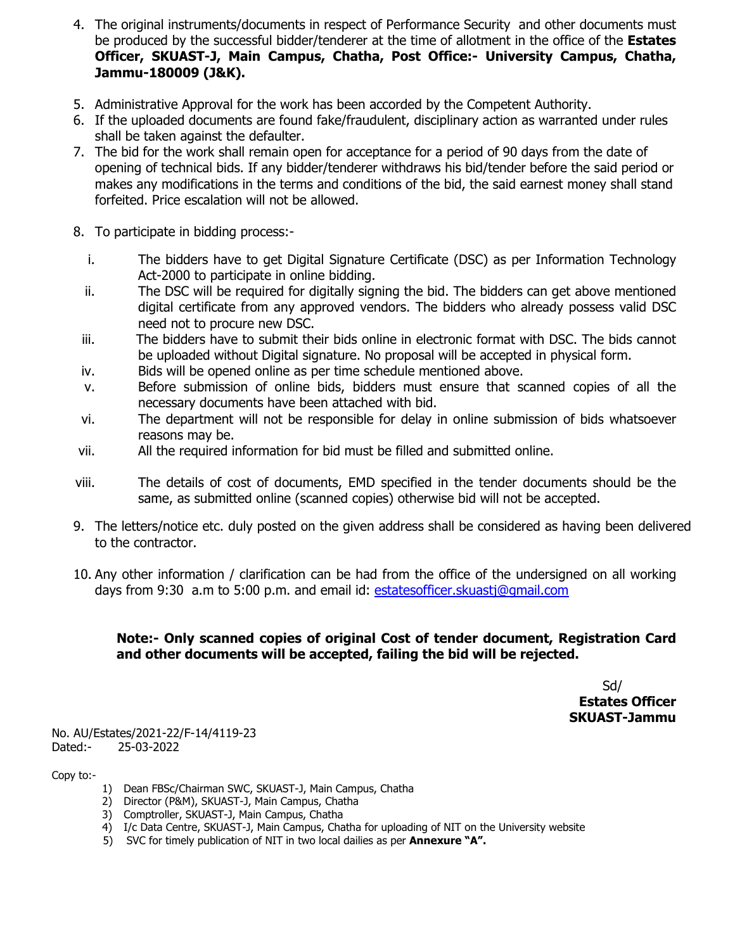- 4. The original instruments/documents in respect of Performance Security and other documents must be produced by the successful bidder/tenderer at the time of allotment in the office of the **Estates Officer, SKUAST-J, Main Campus, Chatha, Post Office:- University Campus, Chatha, Jammu-180009 (J&K).**
- 5. Administrative Approval for the work has been accorded by the Competent Authority.
- 6. If the uploaded documents are found fake/fraudulent, disciplinary action as warranted under rules shall be taken against the defaulter.
- 7. The bid for the work shall remain open for acceptance for a period of 90 days from the date of opening of technical bids. If any bidder/tenderer withdraws his bid/tender before the said period or makes any modifications in the terms and conditions of the bid, the said earnest money shall stand forfeited. Price escalation will not be allowed.
- 8. To participate in bidding process:
	- i. The bidders have to get Digital Signature Certificate (DSC) as per Information Technology Act-2000 to participate in online bidding.
	- ii. The DSC will be required for digitally signing the bid. The bidders can get above mentioned digital certificate from any approved vendors. The bidders who already possess valid DSC need not to procure new DSC.
	- iii. The bidders have to submit their bids online in electronic format with DSC. The bids cannot be uploaded without Digital signature. No proposal will be accepted in physical form.
	- iv. Bids will be opened online as per time schedule mentioned above.
	- v. Before submission of online bids, bidders must ensure that scanned copies of all the necessary documents have been attached with bid.
	- vi. The department will not be responsible for delay in online submission of bids whatsoever reasons may be.
- vii. All the required information for bid must be filled and submitted online.
- viii. The details of cost of documents, EMD specified in the tender documents should be the same, as submitted online (scanned copies) otherwise bid will not be accepted.
- 9. The letters/notice etc. duly posted on the given address shall be considered as having been delivered to the contractor.
- 10. Any other information / clarification can be had from the office of the undersigned on all working days from 9:30 a.m to 5:00 p.m. and email id: estatesofficer.skuastj@gmail.com

# **Note:- Only scanned copies of original Cost of tender document, Registration Card and other documents will be accepted, failing the bid will be rejected.**

Sd/ **Estates Officer SKUAST-Jammu** 

No. AU/Estates/2021-22/F-14/4119-23 Dated:- 25-03-2022

Copy to:-

- 1) Dean FBSc/Chairman SWC, SKUAST-J, Main Campus, Chatha
- 2) Director (P&M), SKUAST-J, Main Campus, Chatha
- 3) Comptroller, SKUAST-J, Main Campus, Chatha
- 4) I/c Data Centre, SKUAST-J, Main Campus, Chatha for uploading of NIT on the University website
- 5) SVC for timely publication of NIT in two local dailies as per **Annexure "A".**